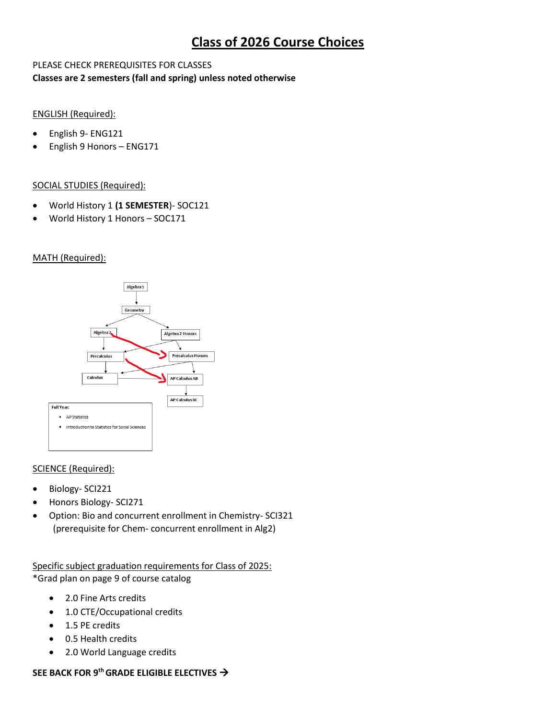# **Class of 2026 Course Choices**

### PLEASE CHECK PREREQUISITES FOR CLASSES **Classes are 2 semesters (fall and spring) unless noted otherwise**

### ENGLISH (Required):

- English 9- ENG121
- English 9 Honors ENG171

### SOCIAL STUDIES (Required):

- World History 1 **(1 SEMESTER**)- SOC121
- World History 1 Honors SOC171

#### MATH (Required):



#### SCIENCE (Required):

- Biology- SCI221
- Honors Biology- SCI271
- Option: Bio and concurrent enrollment in Chemistry- SCI321 (prerequisite for Chem- concurrent enrollment in Alg2)

Specific subject graduation requirements for Class of 2025: \*Grad plan on page 9 of course catalog

- 2.0 Fine Arts credits
- 1.0 CTE/Occupational credits
- 1.5 PE credits
- 0.5 Health credits
- 2.0 World Language credits

### **SEE BACK FOR 9th GRADE ELIGIBLE ELECTIVES** →